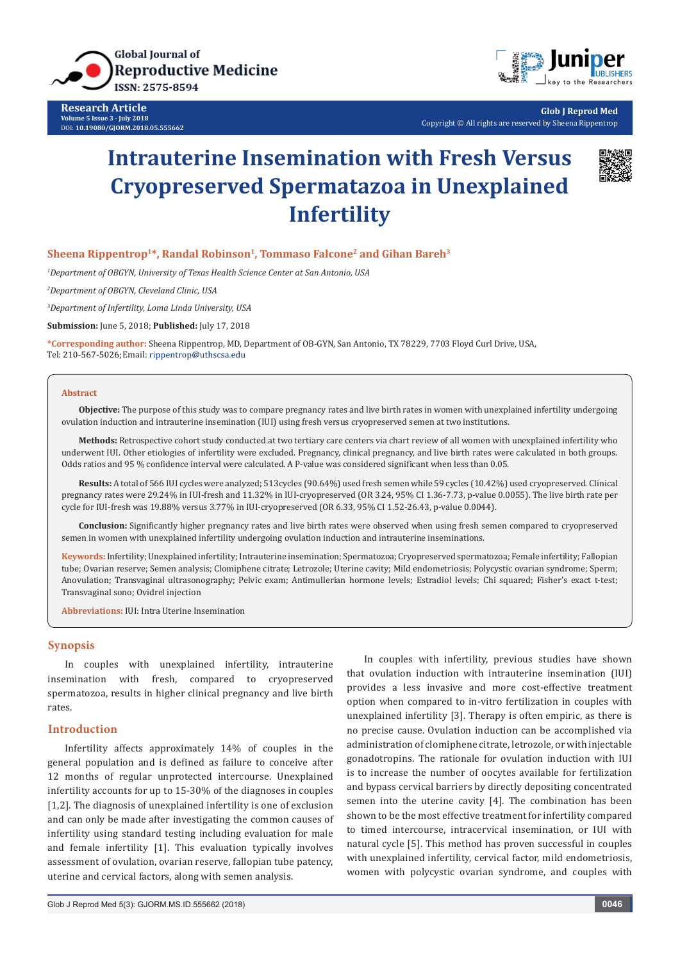

**Research Article Volume 5 Issue 3 - July 2018** DOI: **[10.19080/GJORM.2018.05.555662](http://dx.doi.org/10.19080/GJORM.2018.05.555662)**



**Glob J Reprod Med** Copyright © All rights are reserved by Sheena Rippentrop

# **Intrauterine Insemination with Fresh Versus Cryopreserved Spermatazoa in Unexplained Infertility**



#### **Sheena Rippentrop<sup>1\*</sup>, Randal Robinson<sup>1</sup>, Tommaso Falcone<sup>2</sup> and Gihan Bareh<sup>3</sup>**

*1 Department of OBGYN, University of Texas Health Science Center at San Antonio, USA*

*2 Department of OBGYN, Cleveland Clinic, USA*

*3 Department of Infertility, Loma Linda University, USA*

**Submission:** June 5, 2018; **Published:** July 17, 2018

**\*Corresponding author:** Sheena Rippentrop, MD, Department of OB-GYN, San Antonio, TX 78229, 7703 Floyd Curl Drive, USA, Tel: 210-567-5026; Email: rippentrop@uthscsa.edu

#### **Abstract**

**Objective:** The purpose of this study was to compare pregnancy rates and live birth rates in women with unexplained infertility undergoing ovulation induction and intrauterine insemination (IUI) using fresh versus cryopreserved semen at two institutions.

**Methods:** Retrospective cohort study conducted at two tertiary care centers via chart review of all women with unexplained infertility who underwent IUI. Other etiologies of infertility were excluded. Pregnancy, clinical pregnancy, and live birth rates were calculated in both groups. Odds ratios and 95 % confidence interval were calculated. A P-value was considered significant when less than 0.05.

**Results:** A total of 566 IUI cycles were analyzed; 513cycles (90.64%) used fresh semen while 59 cycles (10.42%) used cryopreserved. Clinical pregnancy rates were 29.24% in IUI-fresh and 11.32% in IUI-cryopreserved (OR 3.24, 95% CI 1.36-7.73, p-value 0.0055). The live birth rate per cycle for IUI-fresh was 19.88% versus 3.77% in IUI-cryopreserved (OR 6.33, 95% CI 1.52-26.43, p-value 0.0044).

**Conclusion:** Significantly higher pregnancy rates and live birth rates were observed when using fresh semen compared to cryopreserved semen in women with unexplained infertility undergoing ovulation induction and intrauterine inseminations.

**Keywords:** Infertility; Unexplained infertility; Intrauterine insemination; Spermatozoa; Cryopreserved spermatozoa; Female infertility; Fallopian tube; Ovarian reserve; Semen analysis; Clomiphene citrate; Letrozole; Uterine cavity; Mild endometriosis; Polycystic ovarian syndrome; Sperm; Anovulation; Transvaginal ultrasonography; Pelvic exam; Antimullerian hormone levels; Estradiol levels; Chi squared; Fisher's exact t-test; Transvaginal sono; Ovidrel injection

**Abbreviations:** IUI: Intra Uterine Insemination

## **Synopsis**

In couples with unexplained infertility, intrauterine insemination with fresh, compared to cryopreserved spermatozoa, results in higher clinical pregnancy and live birth rates.

# **Introduction**

Infertility affects approximately 14% of couples in the general population and is defined as failure to conceive after 12 months of regular unprotected intercourse. Unexplained infertility accounts for up to 15-30% of the diagnoses in couples [1,2]. The diagnosis of unexplained infertility is one of exclusion and can only be made after investigating the common causes of infertility using standard testing including evaluation for male and female infertility [1]. This evaluation typically involves assessment of ovulation, ovarian reserve, fallopian tube patency, uterine and cervical factors, along with semen analysis.

In couples with infertility, previous studies have shown that ovulation induction with intrauterine insemination (IUI) provides a less invasive and more cost-effective treatment option when compared to in-vitro fertilization in couples with unexplained infertility [3]. Therapy is often empiric, as there is no precise cause. Ovulation induction can be accomplished via administration of clomiphene citrate, letrozole, or with injectable gonadotropins. The rationale for ovulation induction with IUI is to increase the number of oocytes available for fertilization and bypass cervical barriers by directly depositing concentrated semen into the uterine cavity [4]. The combination has been shown to be the most effective treatment for infertility compared to timed intercourse, intracervical insemination, or IUI with natural cycle [5]. This method has proven successful in couples with unexplained infertility, cervical factor, mild endometriosis, women with polycystic ovarian syndrome, and couples with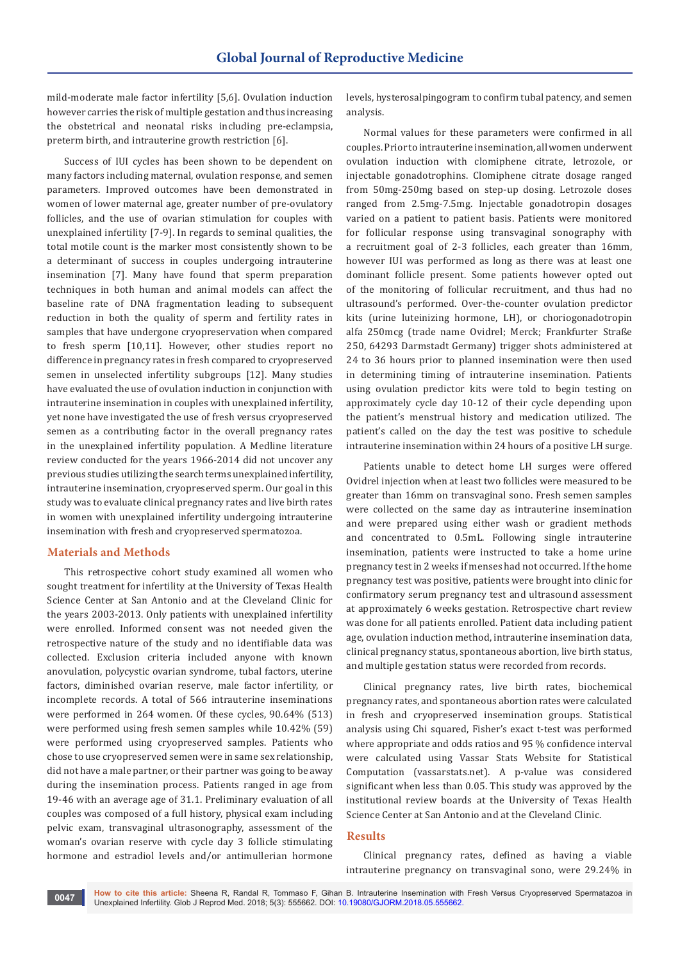mild-moderate male factor infertility [5,6]. Ovulation induction however carries the risk of multiple gestation and thus increasing the obstetrical and neonatal risks including pre-eclampsia, preterm birth, and intrauterine growth restriction [6].

Success of IUI cycles has been shown to be dependent on many factors including maternal, ovulation response, and semen parameters. Improved outcomes have been demonstrated in women of lower maternal age, greater number of pre-ovulatory follicles, and the use of ovarian stimulation for couples with unexplained infertility [7-9]. In regards to seminal qualities, the total motile count is the marker most consistently shown to be a determinant of success in couples undergoing intrauterine insemination [7]. Many have found that sperm preparation techniques in both human and animal models can affect the baseline rate of DNA fragmentation leading to subsequent reduction in both the quality of sperm and fertility rates in samples that have undergone cryopreservation when compared to fresh sperm [10,11]. However, other studies report no difference in pregnancy rates in fresh compared to cryopreserved semen in unselected infertility subgroups [12]. Many studies have evaluated the use of ovulation induction in conjunction with intrauterine insemination in couples with unexplained infertility, yet none have investigated the use of fresh versus cryopreserved semen as a contributing factor in the overall pregnancy rates in the unexplained infertility population. A Medline literature review conducted for the years 1966-2014 did not uncover any previous studies utilizing the search terms unexplained infertility, intrauterine insemination, cryopreserved sperm. Our goal in this study was to evaluate clinical pregnancy rates and live birth rates in women with unexplained infertility undergoing intrauterine insemination with fresh and cryopreserved spermatozoa.

### **Materials and Methods**

This retrospective cohort study examined all women who sought treatment for infertility at the University of Texas Health Science Center at San Antonio and at the Cleveland Clinic for the years 2003-2013. Only patients with unexplained infertility were enrolled. Informed consent was not needed given the retrospective nature of the study and no identifiable data was collected. Exclusion criteria included anyone with known anovulation, polycystic ovarian syndrome, tubal factors, uterine factors, diminished ovarian reserve, male factor infertility, or incomplete records. A total of 566 intrauterine inseminations were performed in 264 women. Of these cycles, 90.64% (513) were performed using fresh semen samples while 10.42% (59) were performed using cryopreserved samples. Patients who chose to use cryopreserved semen were in same sex relationship, did not have a male partner, or their partner was going to be away during the insemination process. Patients ranged in age from 19-46 with an average age of 31.1. Preliminary evaluation of all couples was composed of a full history, physical exam including pelvic exam, transvaginal ultrasonography, assessment of the woman's ovarian reserve with cycle day 3 follicle stimulating hormone and estradiol levels and/or antimullerian hormone

levels, hysterosalpingogram to confirm tubal patency, and semen analysis.

Normal values for these parameters were confirmed in all couples. Prior to intrauterine insemination, all women underwent ovulation induction with clomiphene citrate, letrozole, or injectable gonadotrophins. Clomiphene citrate dosage ranged from 50mg-250mg based on step-up dosing. Letrozole doses ranged from 2.5mg-7.5mg. Injectable gonadotropin dosages varied on a patient to patient basis. Patients were monitored for follicular response using transvaginal sonography with a recruitment goal of 2-3 follicles, each greater than 16mm, however IUI was performed as long as there was at least one dominant follicle present. Some patients however opted out of the monitoring of follicular recruitment, and thus had no ultrasound's performed. Over-the-counter ovulation predictor kits (urine luteinizing hormone, LH), or choriogonadotropin alfa 250mcg (trade name Ovidrel; Merck; Frankfurter Straße 250, 64293 Darmstadt Germany) trigger shots administered at 24 to 36 hours prior to planned insemination were then used in determining timing of intrauterine insemination. Patients using ovulation predictor kits were told to begin testing on approximately cycle day 10-12 of their cycle depending upon the patient's menstrual history and medication utilized. The patient's called on the day the test was positive to schedule intrauterine insemination within 24 hours of a positive LH surge.

Patients unable to detect home LH surges were offered Ovidrel injection when at least two follicles were measured to be greater than 16mm on transvaginal sono. Fresh semen samples were collected on the same day as intrauterine insemination and were prepared using either wash or gradient methods and concentrated to 0.5mL. Following single intrauterine insemination, patients were instructed to take a home urine pregnancy test in 2 weeks if menses had not occurred. If the home pregnancy test was positive, patients were brought into clinic for confirmatory serum pregnancy test and ultrasound assessment at approximately 6 weeks gestation. Retrospective chart review was done for all patients enrolled. Patient data including patient age, ovulation induction method, intrauterine insemination data, clinical pregnancy status, spontaneous abortion, live birth status, and multiple gestation status were recorded from records.

Clinical pregnancy rates, live birth rates, biochemical pregnancy rates, and spontaneous abortion rates were calculated in fresh and cryopreserved insemination groups. Statistical analysis using Chi squared, Fisher's exact t-test was performed where appropriate and odds ratios and 95 % confidence interval were calculated using Vassar Stats Website for Statistical Computation (vassarstats.net). A p-value was considered significant when less than 0.05. This study was approved by the institutional review boards at the University of Texas Health Science Center at San Antonio and at the Cleveland Clinic.

# **Results**

Clinical pregnancy rates, defined as having a viable intrauterine pregnancy on transvaginal sono, were 29.24% in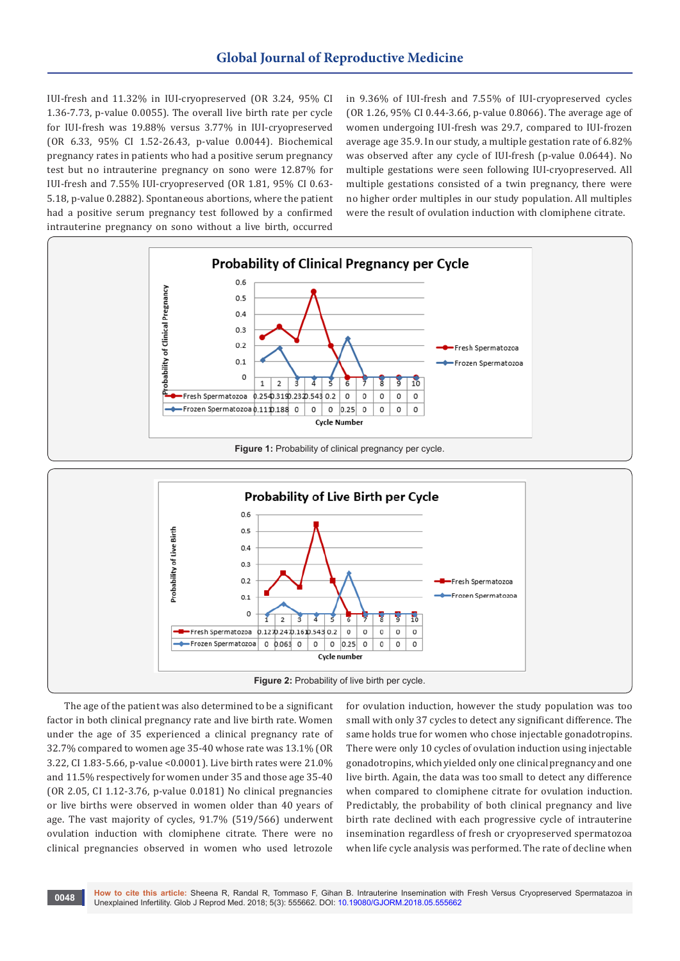IUI-fresh and 11.32% in IUI-cryopreserved (OR 3.24, 95% CI 1.36-7.73, p-value 0.0055). The overall live birth rate per cycle for IUI-fresh was 19.88% versus 3.77% in IUI-cryopreserved (OR 6.33, 95% CI 1.52-26.43, p-value 0.0044). Biochemical pregnancy rates in patients who had a positive serum pregnancy test but no intrauterine pregnancy on sono were 12.87% for IUI-fresh and 7.55% IUI-cryopreserved (OR 1.81, 95% CI 0.63- 5.18, p-value 0.2882). Spontaneous abortions, where the patient had a positive serum pregnancy test followed by a confirmed intrauterine pregnancy on sono without a live birth, occurred

in 9.36% of IUI-fresh and 7.55% of IUI-cryopreserved cycles (OR 1.26, 95% CI 0.44-3.66, p-value 0.8066). The average age of women undergoing IUI-fresh was 29.7, compared to IUI-frozen average age 35.9. In our study, a multiple gestation rate of 6.82% was observed after any cycle of IUI-fresh (p-value 0.0644). No multiple gestations were seen following IUI-cryopreserved. All multiple gestations consisted of a twin pregnancy, there were no higher order multiples in our study population. All multiples were the result of ovulation induction with clomiphene citrate.



The age of the patient was also determined to be a significant factor in both clinical pregnancy rate and live birth rate. Women under the age of 35 experienced a clinical pregnancy rate of 32.7% compared to women age 35-40 whose rate was 13.1% (OR 3.22, CI 1.83-5.66, p-value <0.0001). Live birth rates were 21.0% and 11.5% respectively for women under 35 and those age 35-40 (OR 2.05, CI 1.12-3.76, p-value 0.0181) No clinical pregnancies or live births were observed in women older than 40 years of age. The vast majority of cycles, 91.7% (519/566) underwent ovulation induction with clomiphene citrate. There were no clinical pregnancies observed in women who used letrozole

for ovulation induction, however the study population was too small with only 37 cycles to detect any significant difference. The same holds true for women who chose injectable gonadotropins. There were only 10 cycles of ovulation induction using injectable gonadotropins, which yielded only one clinical pregnancy and one live birth. Again, the data was too small to detect any difference when compared to clomiphene citrate for ovulation induction. Predictably, the probability of both clinical pregnancy and live birth rate declined with each progressive cycle of intrauterine insemination regardless of fresh or cryopreserved spermatozoa when life cycle analysis was performed. The rate of decline when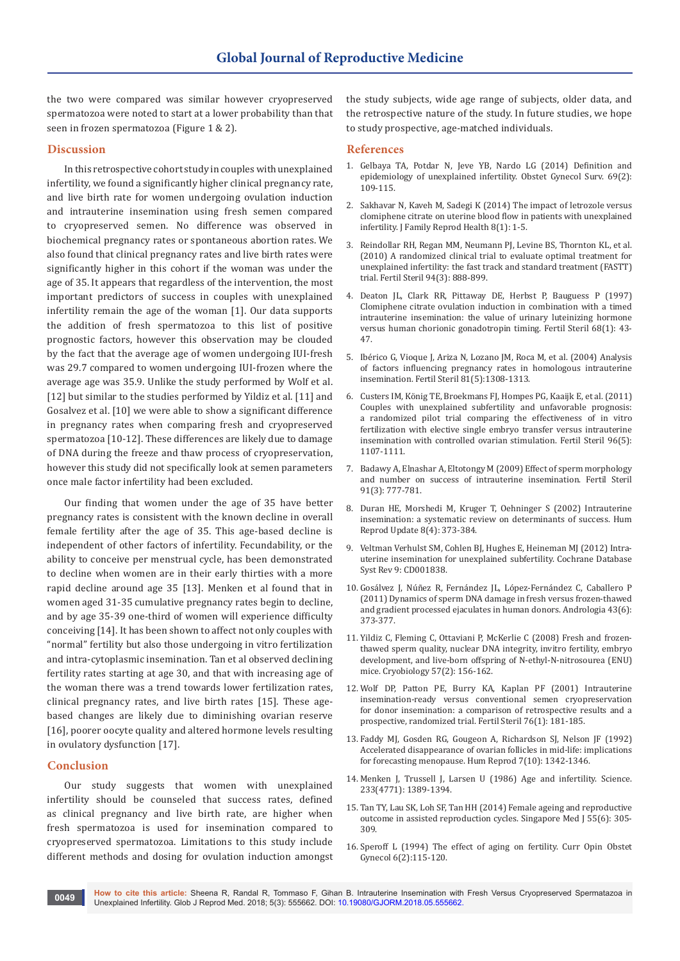the two were compared was similar however cryopreserved spermatozoa were noted to start at a lower probability than that seen in frozen spermatozoa (Figure 1 & 2).

#### **Discussion**

In this retrospective cohort study in couples with unexplained infertility, we found a significantly higher clinical pregnancy rate, and live birth rate for women undergoing ovulation induction and intrauterine insemination using fresh semen compared to cryopreserved semen. No difference was observed in biochemical pregnancy rates or spontaneous abortion rates. We also found that clinical pregnancy rates and live birth rates were significantly higher in this cohort if the woman was under the age of 35. It appears that regardless of the intervention, the most important predictors of success in couples with unexplained infertility remain the age of the woman [1]. Our data supports the addition of fresh spermatozoa to this list of positive prognostic factors, however this observation may be clouded by the fact that the average age of women undergoing IUI-fresh was 29.7 compared to women undergoing IUI-frozen where the average age was 35.9. Unlike the study performed by Wolf et al. [12] but similar to the studies performed by Yildiz et al. [11] and Gosalvez et al. [10] we were able to show a significant difference in pregnancy rates when comparing fresh and cryopreserved spermatozoa [10-12]. These differences are likely due to damage of DNA during the freeze and thaw process of cryopreservation, however this study did not specifically look at semen parameters once male factor infertility had been excluded.

Our finding that women under the age of 35 have better pregnancy rates is consistent with the known decline in overall female fertility after the age of 35. This age-based decline is independent of other factors of infertility. Fecundability, or the ability to conceive per menstrual cycle, has been demonstrated to decline when women are in their early thirties with a more rapid decline around age 35 [13]. Menken et al found that in women aged 31-35 cumulative pregnancy rates begin to decline, and by age 35-39 one-third of women will experience difficulty conceiving [14]. It has been shown to affect not only couples with "normal" fertility but also those undergoing in vitro fertilization and intra-cytoplasmic insemination. Tan et al observed declining fertility rates starting at age 30, and that with increasing age of the woman there was a trend towards lower fertilization rates, clinical pregnancy rates, and live birth rates [15]. These agebased changes are likely due to diminishing ovarian reserve [16], poorer oocyte quality and altered hormone levels resulting in ovulatory dysfunction [17].

## **Conclusion**

Our study suggests that women with unexplained infertility should be counseled that success rates, defined as clinical pregnancy and live birth rate, are higher when fresh spermatozoa is used for insemination compared to cryopreserved spermatozoa. Limitations to this study include different methods and dosing for ovulation induction amongst the study subjects, wide age range of subjects, older data, and the retrospective nature of the study. In future studies, we hope to study prospective, age-matched individuals.

#### **References**

- 1. [Gelbaya TA, Potdar N, Jeve YB, Nardo LG \(2014\) Definition and](https://www.ncbi.nlm.nih.gov/pubmed/25112489)  [epidemiology of unexplained infertility. Obstet Gynecol Surv. 69\(2\):](https://www.ncbi.nlm.nih.gov/pubmed/25112489)  [109-115.](https://www.ncbi.nlm.nih.gov/pubmed/25112489)
- 2. [Sakhavar N, Kaveh M, Sadegi K \(2014\) The impact of letrozole versus](https://www.ncbi.nlm.nih.gov/pubmed/24971126/)  [clomiphene citrate on uterine blood flow in patients with unexplained](https://www.ncbi.nlm.nih.gov/pubmed/24971126/)  [infertility. J Family Reprod Health 8\(1\): 1-5.](https://www.ncbi.nlm.nih.gov/pubmed/24971126/)
- 3. [Reindollar RH, Regan MM, Neumann PJ, Levine BS, Thornton KL, et al.](https://www.ncbi.nlm.nih.gov/pubmed/19531445)  [\(2010\) A randomized clinical trial to evaluate optimal treatment for](https://www.ncbi.nlm.nih.gov/pubmed/19531445)  [unexplained infertility: the fast track and standard treatment \(FASTT\)](https://www.ncbi.nlm.nih.gov/pubmed/19531445)  [trial. Fertil Steril 94\(3\): 888-899.](https://www.ncbi.nlm.nih.gov/pubmed/19531445)
- 4. [Deaton JL, Clark RR, Pittaway DE, Herbst P, Bauguess P \(1997\)](https://www.ncbi.nlm.nih.gov/pubmed/9207582)  [Clomiphene citrate ovulation induction in combination with a timed](https://www.ncbi.nlm.nih.gov/pubmed/9207582)  [intrauterine insemination: the value of urinary luteinizing hormone](https://www.ncbi.nlm.nih.gov/pubmed/9207582)  [versus human chorionic gonadotropin timing. Fertil Steril 68\(1\): 43-](https://www.ncbi.nlm.nih.gov/pubmed/9207582) [47.](https://www.ncbi.nlm.nih.gov/pubmed/9207582)
- 5. [Ibérico G, Vioque J, Ariza N, Lozano JM, Roca M, et al. \(2004\) Analysis](https://www.ncbi.nlm.nih.gov/pubmed/15136095)  [of factors influencing pregnancy rates in homologous intrauterine](https://www.ncbi.nlm.nih.gov/pubmed/15136095)  [insemination. Fertil Steril 81\(5\):1308-1313.](https://www.ncbi.nlm.nih.gov/pubmed/15136095)
- 6. [Custers IM, König TE, Broekmans FJ, Hompes PG, Kaaijk E, et al. \(2011\)](https://www.ncbi.nlm.nih.gov/pubmed/21890134)  [Couples with unexplained subfertility and unfavorable prognosis:](https://www.ncbi.nlm.nih.gov/pubmed/21890134)  [a randomized pilot trial comparing the effectiveness of in vitro](https://www.ncbi.nlm.nih.gov/pubmed/21890134)  [fertilization with elective single embryo transfer versus intrauterine](https://www.ncbi.nlm.nih.gov/pubmed/21890134)  [insemination with controlled ovarian stimulation. Fertil Steril 96\(5\):](https://www.ncbi.nlm.nih.gov/pubmed/21890134)  [1107-1111.](https://www.ncbi.nlm.nih.gov/pubmed/21890134)
- 7. [Badawy A, Elnashar A, Eltotongy M \(2009\) Effect of sperm morphology](https://www.ncbi.nlm.nih.gov/pubmed/18304534)  [and number on success of intrauterine insemination. Fertil Steril](https://www.ncbi.nlm.nih.gov/pubmed/18304534)  [91\(3\): 777-781.](https://www.ncbi.nlm.nih.gov/pubmed/18304534)
- 8. [Duran HE, Morshedi M, Kruger T, Oehninger S \(2002\) Intrauterine](https://www.ncbi.nlm.nih.gov/pubmed/12206471)  [insemination: a systematic review on determinants of success. Hum](https://www.ncbi.nlm.nih.gov/pubmed/12206471)  [Reprod Update 8\(4\): 373-384.](https://www.ncbi.nlm.nih.gov/pubmed/12206471)
- 9. [Veltman Verhulst SM, Cohlen BJ, Hughes E, Heineman MJ \(2012\) Intra](https://www.ncbi.nlm.nih.gov/pubmed/22972053)[uterine insemination for unexplained subfertility. Cochrane Database](https://www.ncbi.nlm.nih.gov/pubmed/22972053)  [Syst Rev 9: CD001838.](https://www.ncbi.nlm.nih.gov/pubmed/22972053)
- 10. [Gosálvez J, Núñez R, Fernández JL, López-Fernández C, Caballero P](https://www.ncbi.nlm.nih.gov/pubmed/21919930)  [\(2011\) Dynamics of sperm DNA damage in fresh versus frozen-thawed](https://www.ncbi.nlm.nih.gov/pubmed/21919930)  [and gradient processed ejaculates in human donors. Andrologia 43\(6\):](https://www.ncbi.nlm.nih.gov/pubmed/21919930)  [373-377.](https://www.ncbi.nlm.nih.gov/pubmed/21919930)
- 11. [Yildiz C, Fleming C, Ottaviani P, McKerlie C \(2008\) Fresh and frozen](https://www.ncbi.nlm.nih.gov/pubmed/18700137)[thawed sperm quality, nuclear DNA integrity, invitro fertility, embryo](https://www.ncbi.nlm.nih.gov/pubmed/18700137)  [development, and live-born offspring of N-ethyl-N-nitrosourea \(ENU\)](https://www.ncbi.nlm.nih.gov/pubmed/18700137)  [mice. Cryobiology 57\(2\): 156-162.](https://www.ncbi.nlm.nih.gov/pubmed/18700137)
- 12. [Wolf DP, Patton PE, Burry KA, Kaplan PF \(2001\) Intrauterine](https://www.ncbi.nlm.nih.gov/pubmed/11438340)  [insemination-ready versus conventional semen cryopreservation](https://www.ncbi.nlm.nih.gov/pubmed/11438340)  [for donor insemination: a comparison of retrospective results and a](https://www.ncbi.nlm.nih.gov/pubmed/11438340)  [prospective, randomized trial. Fertil Steril 76\(1\): 181-185.](https://www.ncbi.nlm.nih.gov/pubmed/11438340)
- 13. [Faddy MJ, Gosden RG, Gougeon A, Richardson SJ, Nelson JF \(1992\)](https://www.ncbi.nlm.nih.gov/pubmed/1291557)  [Accelerated disappearance of ovarian follicles in mid-life: implications](https://www.ncbi.nlm.nih.gov/pubmed/1291557)  [for forecasting menopause. Hum Reprod 7\(10\): 1342-1346.](https://www.ncbi.nlm.nih.gov/pubmed/1291557)
- 14. [Menken J, Trussell J, Larsen U \(1986\) Age and infertility. Science.](https://www.ncbi.nlm.nih.gov/pubmed/3755843)  [233\(4771\): 1389-1394.](https://www.ncbi.nlm.nih.gov/pubmed/3755843)
- 15. [Tan TY, Lau SK, Loh SF, Tan HH \(2014\) Female ageing and reproductive](https://www.ncbi.nlm.nih.gov/pubmed/25017405)  [outcome in assisted reproduction cycles. Singapore Med J 55\(6\): 305-](https://www.ncbi.nlm.nih.gov/pubmed/25017405) [309.](https://www.ncbi.nlm.nih.gov/pubmed/25017405)
- 16. [Speroff L \(1994\) The effect of aging on fertility. Curr Opin Obstet](https://www.ncbi.nlm.nih.gov/pubmed/8193249)  [Gynecol 6\(2\):115-120.](https://www.ncbi.nlm.nih.gov/pubmed/8193249)